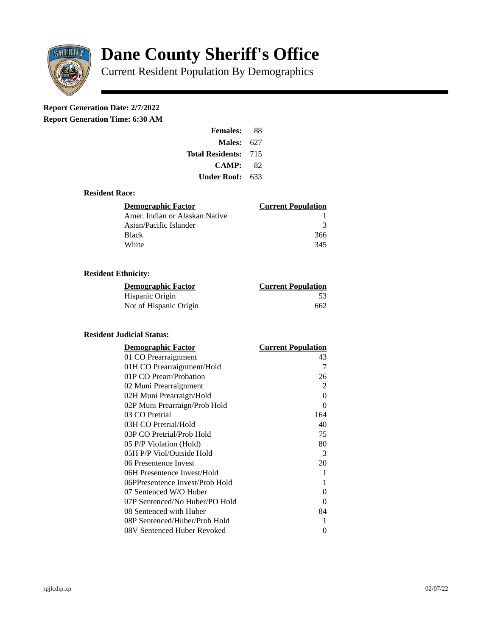

# **Dane County Sheriff's Office**

Current Resident Population By Demographics

# **Report Generation Date: 2/7/2022**

**Report Generation Time: 6:30 AM** 

| <b>Females:</b>         | 88   |
|-------------------------|------|
| Males:                  | 627  |
| <b>Total Residents:</b> | -715 |
| <b>CAMP:</b>            | 82   |
| Under Roof: .           | 633  |

### **Resident Race:**

| Demographic Factor             | <b>Current Population</b> |
|--------------------------------|---------------------------|
| Amer. Indian or Alaskan Native |                           |
| Asian/Pacific Islander         | ₹                         |
| Black                          | 366                       |
| White                          | 345                       |

# **Resident Ethnicity:**

| <u> Demographic Factor</u> | <b>Current Population</b> |
|----------------------------|---------------------------|
| Hispanic Origin            | .53                       |
| Not of Hispanic Origin     | 662                       |

#### **Resident Judicial Status:**

| <b>Demographic Factor</b>       | <b>Current Population</b> |
|---------------------------------|---------------------------|
| 01 CO Prearraignment            | 43                        |
| 01H CO Prearraignment/Hold      | 7                         |
| 01P CO Prearr/Probation         | 26                        |
| 02 Muni Prearraignment          | $\overline{2}$            |
| 02H Muni Prearraign/Hold        | $\Omega$                  |
| 02P Muni Prearraign/Prob Hold   | 0                         |
| 03 CO Pretrial                  | 164                       |
| 03H CO Pretrial/Hold            | 40                        |
| 03P CO Pretrial/Prob Hold       | 75                        |
| 05 P/P Violation (Hold)         | 80                        |
| 05H P/P Viol/Outside Hold       | 3                         |
| 06 Presentence Invest           | 20                        |
| 06H Presentence Invest/Hold     | 1                         |
| 06PPresentence Invest/Prob Hold | 1                         |
| 07 Sentenced W/O Huber          | 0                         |
| 07P Sentenced/No Huber/PO Hold  | 0                         |
| 08 Sentenced with Huber         | 84                        |
| 08P Sentenced/Huber/Prob Hold   | 1                         |
| 08V Sentenced Huber Revoked     | 0                         |